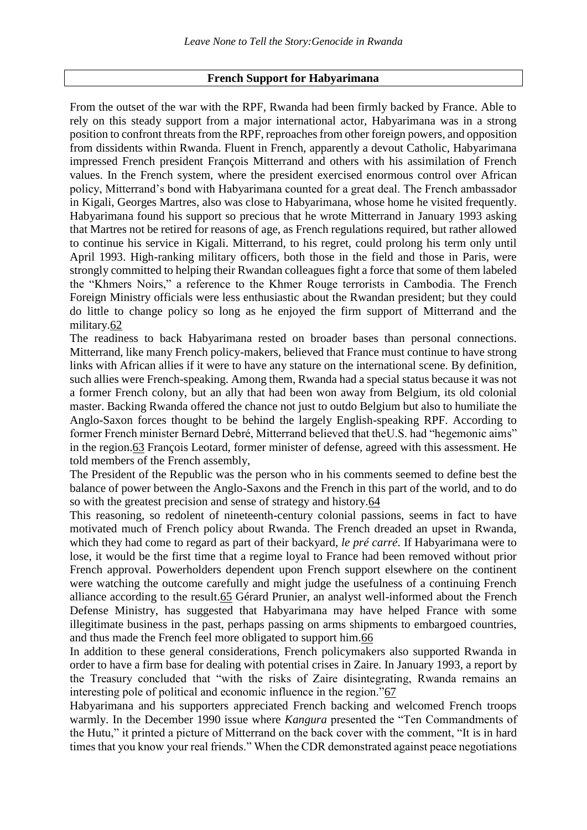## **French Support for Habyarimana**

From the outset of the war with the RPF, Rwanda had been firmly backed by France. Able to rely on this steady support from a major international actor, Habyarimana was in a strong position to confront threats from the RPF, reproaches from other foreign powers, and opposition from dissidents within Rwanda. Fluent in French, apparently a devout Catholic, Habyarimana impressed French president François Mitterrand and others with his assimilation of French values. In the French system, where the president exercised enormous control over African policy, Mitterrand's bond with Habyarimana counted for a great deal. The French ambassador in Kigali, Georges Martres, also was close to Habyarimana, whose home he visited frequently. Habyarimana found his support so precious that he wrote Mitterrand in January 1993 asking that Martres not be retired for reasons of age, as French regulations required, but rather allowed to continue his service in Kigali. Mitterrand, to his regret, could prolong his term only until April 1993. High-ranking military officers, both those in the field and those in Paris, were strongly committed to helping their Rwandan colleagues fight a force that some of them labeled the "Khmers Noirs," a reference to the Khmer Rouge terrorists in Cambodia. The French Foreign Ministry officials were less enthusiastic about the Rwandan president; but they could do little to change policy so long as he enjoyed the firm support of Mitterrand and the military[.62](https://www.hrw.org/reports/1999/rwanda/Geno1-3-11.htm#P776_298154)

The readiness to back Habyarimana rested on broader bases than personal connections. Mitterrand, like many French policy-makers, believed that France must continue to have strong links with African allies if it were to have any stature on the international scene. By definition, such allies were French-speaking. Among them, Rwanda had a special status because it was not a former French colony, but an ally that had been won away from Belgium, its old colonial master. Backing Rwanda offered the chance not just to outdo Belgium but also to humiliate the Anglo-Saxon forces thought to be behind the largely English-speaking RPF. According to former French minister Bernard Debré, Mitterrand believed that theU.S. had "hegemonic aims" in the region[.63](https://www.hrw.org/reports/1999/rwanda/Geno1-3-11.htm#P778_298938) François Leotard, former minister of defense, agreed with this assessment. He told members of the French assembly,

The President of the Republic was the person who in his comments seemed to define best the balance of power between the Anglo-Saxons and the French in this part of the world, and to do so with the greatest precision and sense of strategy and history[.64](https://www.hrw.org/reports/1999/rwanda/Geno1-3-11.htm#P781_299403)

This reasoning, so redolent of nineteenth-century colonial passions, seems in fact to have motivated much of French policy about Rwanda. The French dreaded an upset in Rwanda, which they had come to regard as part of their backyard, *le pré carré*. If Habyarimana were to lose, it would be the first time that a regime loyal to France had been removed without prior French approval. Powerholders dependent upon French support elsewhere on the continent were watching the outcome carefully and might judge the usefulness of a continuing French alliance according to the result[.65](https://www.hrw.org/reports/1999/rwanda/Geno1-3-11.htm#P784_299992) Gérard Prunier, an analyst well-informed about the French Defense Ministry, has suggested that Habyarimana may have helped France with some illegitimate business in the past, perhaps passing on arms shipments to embargoed countries, and thus made the French feel more obligated to support him[.66](https://www.hrw.org/reports/1999/rwanda/Geno1-3-11.htm#P785_300372)

In addition to these general considerations, French policymakers also supported Rwanda in order to have a firm base for dealing with potential crises in Zaire. In January 1993, a report by the Treasury concluded that "with the risks of Zaire disintegrating, Rwanda remains an interesting pole of political and economic influence in the region.["67](https://www.hrw.org/reports/1999/rwanda/Geno1-3-11.htm#P787_300830)

Habyarimana and his supporters appreciated French backing and welcomed French troops warmly. In the December 1990 issue where *Kangura* presented the "Ten Commandments of the Hutu," it printed a picture of Mitterrand on the back cover with the comment, "It is in hard times that you know your real friends." When the CDR demonstrated against peace negotiations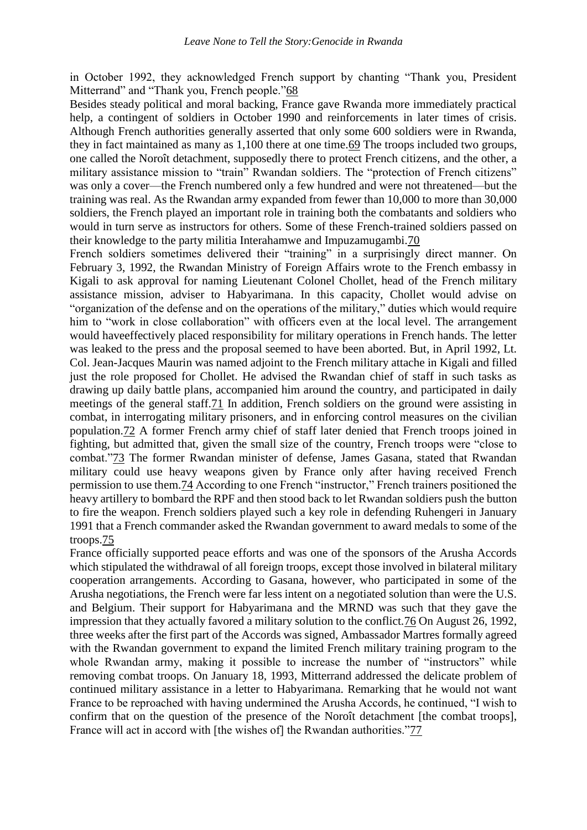in October 1992, they acknowledged French support by chanting "Thank you, President Mitterrand" and "Thank you, French people.["68](https://www.hrw.org/reports/1999/rwanda/Geno1-3-11.htm#P789_301351)

Besides steady political and moral backing, France gave Rwanda more immediately practical help, a contingent of soldiers in October 1990 and reinforcements in later times of crisis. Although French authorities generally asserted that only some 600 soldiers were in Rwanda, they in fact maintained as many as 1,100 there at one time[.69](https://www.hrw.org/reports/1999/rwanda/Geno1-3-11.htm#P791_301719) The troops included two groups, one called the Noroît detachment, supposedly there to protect French citizens, and the other, a military assistance mission to "train" Rwandan soldiers. The "protection of French citizens" was only a cover—the French numbered only a few hundred and were not threatened—but the training was real. As the Rwandan army expanded from fewer than 10,000 to more than 30,000 soldiers, the French played an important role in training both the combatants and soldiers who would in turn serve as instructors for others. Some of these French-trained soldiers passed on their knowledge to the party militia Interahamwe and Impuzamugambi[.70](https://www.hrw.org/reports/1999/rwanda/Geno1-3-11.htm#P792_302398)

French soldiers sometimes delivered their "training" in a surprisingly direct manner. On February 3, 1992, the Rwandan Ministry of Foreign Affairs wrote to the French embassy in Kigali to ask approval for naming Lieutenant Colonel Chollet, head of the French military assistance mission, adviser to Habyarimana. In this capacity, Chollet would advise on "organization of the defense and on the operations of the military," duties which would require him to "work in close collaboration" with officers even at the local level. The arrangement would haveeffectively placed responsibility for military operations in French hands. The letter was leaked to the press and the proposal seemed to have been aborted. But, in April 1992, Lt. Col. Jean-Jacques Maurin was named adjoint to the French military attache in Kigali and filled just the role proposed for Chollet. He advised the Rwandan chief of staff in such tasks as drawing up daily battle plans, accompanied him around the country, and participated in daily meetings of the general staff[.71](https://www.hrw.org/reports/1999/rwanda/Geno1-3-11.htm#P794_304028) In addition, French soldiers on the ground were assisting in combat, in interrogating military prisoners, and in enforcing control measures on the civilian population[.72](https://www.hrw.org/reports/1999/rwanda/Geno1-3-11.htm#P795_304332) A former French army chief of staff later denied that French troops joined in fighting, but admitted that, given the small size of the country, French troops were "close to combat.["73](https://www.hrw.org/reports/1999/rwanda/Geno1-3-11.htm#P796_304686) The former Rwandan minister of defense, James Gasana, stated that Rwandan military could use heavy weapons given by France only after having received French permission to use them[.74](https://www.hrw.org/reports/1999/rwanda/Geno1-3-11.htm#P797_305032) According to one French "instructor," French trainers positioned the heavy artillery to bombard the RPF and then stood back to let Rwandan soldiers push the button to fire the weapon. French soldiers played such a key role in defending Ruhengeri in January 1991 that a French commander asked the Rwandan government to award medals to some of the troops[.75](https://www.hrw.org/reports/1999/rwanda/Geno1-3-11.htm#P798_305485)

France officially supported peace efforts and was one of the sponsors of the Arusha Accords which stipulated the withdrawal of all foreign troops, except those involved in bilateral military cooperation arrangements. According to Gasana, however, who participated in some of the Arusha negotiations, the French were far less intent on a negotiated solution than were the U.S. and Belgium. Their support for Habyarimana and the MRND was such that they gave the impression that they actually favored a military solution to the conflict[.76](https://www.hrw.org/reports/1999/rwanda/Geno1-3-11.htm#P800_306509) On August 26, 1992, three weeks after the first part of the Accords was signed, Ambassador Martres formally agreed with the Rwandan government to expand the limited French military training program to the whole Rwandan army, making it possible to increase the number of "instructors" while removing combat troops. On January 18, 1993, Mitterrand addressed the delicate problem of continued military assistance in a letter to Habyarimana. Remarking that he would not want France to be reproached with having undermined the Arusha Accords, he continued, "I wish to confirm that on the question of the presence of the Noroît detachment [the combat troops], France will act in accord with [the wishes of] the Rwandan authorities.["77](https://www.hrw.org/reports/1999/rwanda/Geno1-3-11.htm#P801_307335)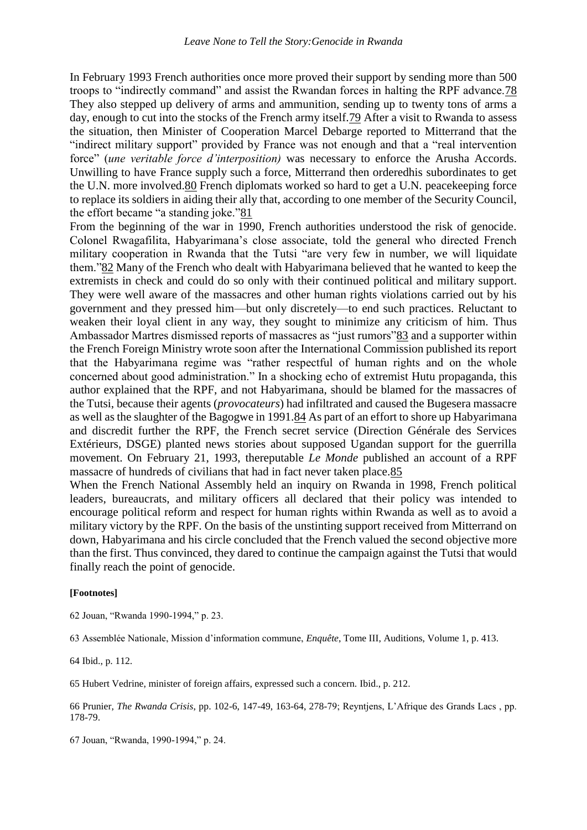In February 1993 French authorities once more proved their support by sending more than 500 troops to "indirectly command" and assist the Rwandan forces in halting the RPF advance[.78](https://www.hrw.org/reports/1999/rwanda/Geno1-3-11.htm#P803_307639) They also stepped up delivery of arms and ammunition, sending up to twenty tons of arms a day, enough to cut into the stocks of the French army itself[.79](https://www.hrw.org/reports/1999/rwanda/Geno1-3-11.htm#P804_307883) After a visit to Rwanda to assess the situation, then Minister of Cooperation Marcel Debarge reported to Mitterrand that the "indirect military support" provided by France was not enough and that a "real intervention force" (*une veritable force d'interposition)* was necessary to enforce the Arusha Accords. Unwilling to have France supply such a force, Mitterrand then orderedhis subordinates to get the U.N. more involved[.80](https://www.hrw.org/reports/1999/rwanda/Geno1-3-11.htm#P805_308339) French diplomats worked so hard to get a U.N. peacekeeping force to replace its soldiers in aiding their ally that, according to one member of the Security Council, the effort became "a standing joke.["81](https://www.hrw.org/reports/1999/rwanda/Geno1-3-11.htm#P806_308639)

From the beginning of the war in 1990, French authorities understood the risk of genocide. Colonel Rwagafilita, Habyarimana's close associate, told the general who directed French military cooperation in Rwanda that the Tutsi "are very few in number, we will liquidate them.["82](https://www.hrw.org/reports/1999/rwanda/Geno1-3-11.htm#P808_308956) Many of the French who dealt with Habyarimana believed that he wanted to keep the extremists in check and could do so only with their continued political and military support. They were well aware of the massacres and other human rights violations carried out by his government and they pressed him—but only discretely—to end such practices. Reluctant to weaken their loyal client in any way, they sought to minimize any criticism of him. Thus Ambassador Martres dismissed reports of massacres as "just rumors["83](https://www.hrw.org/reports/1999/rwanda/Geno1-3-11.htm#P809_309553) and a supporter within the French Foreign Ministry wrote soon after the International Commission published its report that the Habyarimana regime was "rather respectful of human rights and on the whole concerned about good administration." In a shocking echo of extremist Hutu propaganda, this author explained that the RPF, and not Habyarimana, should be blamed for the massacres of the Tutsi, because their agents (*provocateurs*) had infiltrated and caused the Bugesera massacre as well as the slaughter of the Bagogwe in 1991[.84](https://www.hrw.org/reports/1999/rwanda/Geno1-3-11.htm#P810_310214) As part of an effort to shore up Habyarimana and discredit further the RPF, the French secret service (Direction Générale des Services Extérieurs, DSGE) planted news stories about supposed Ugandan support for the guerrilla movement. On February 21, 1993, thereputable *Le Monde* published an account of a RPF massacre of hundreds of civilians that had in fact never taken place[.85](https://www.hrw.org/reports/1999/rwanda/Geno1-3-11.htm#P811_310625)

When the French National Assembly held an inquiry on Rwanda in 1998, French political leaders, bureaucrats, and military officers all declared that their policy was intended to encourage political reform and respect for human rights within Rwanda as well as to avoid a military victory by the RPF. On the basis of the unstinting support received from Mitterrand on down, Habyarimana and his circle concluded that the French valued the second objective more than the first. Thus convinced, they dared to continue the campaign against the Tutsi that would finally reach the point of genocide.

## **[Footnotes]**

62 Jouan, "Rwanda 1990-1994," p. 23.

63 Assemblée Nationale, Mission d'information commune, *Enquête*, Tome III, Auditions, Volume 1, p. 413.

64 Ibid., p. 112.

65 Hubert Vedrine, minister of foreign affairs, expressed such a concern. Ibid., p. 212.

66 Prunier, *The Rwanda Crisis*, pp. 102-6, 147-49, 163-64, 278-79; Reyntjens, L'Afrique des Grands Lacs , pp. 178-79.

67 Jouan, "Rwanda, 1990-1994," p. 24.